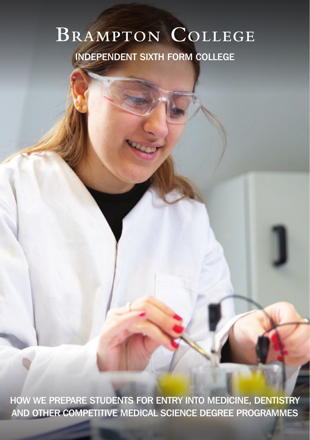# BRAMPTON COLLEGE

INDEPENDENT SIXTH FORM COLLEGE

HOW WE PREPARE STUDENTS FOR ENTRY INTO MEDICINE, DENTISTRY AND OTHER COMPETITIVE MEDICAL SCIENCE DEGREE PROGRAMMES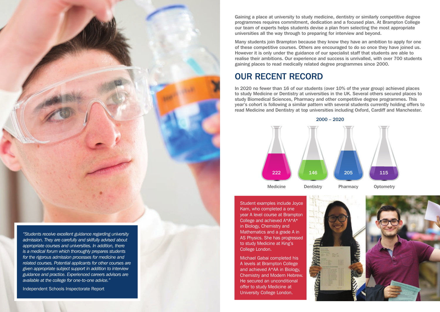*"Students receive excellent guidance regarding university admission. They are carefully and skilfully advised about appropriate courses and universities. In addition, there is a medical forum which thoroughly prepares students for the rigorous admission processes for medicine and related courses. Potential applicants for other courses are given appropriate subject support in addition to interview guidance and practice. Experienced careers advisors are available at the college for one-to-one advice."*

Independent Schools Inspectorate Report

Gaining a place at university to study medicine, dentistry or similarly competitive degree programmes requires commitment, dedication and a focused plan. At Brampton College our team of experts helps students devise a plan from selecting the most appropriate universities all the way through to preparing for interview and beyond.

Many students join Brampton because they know they have an ambition to apply for one of these competitive courses. Others are encouraged to do so once they have joined us. However it is only under the guidance of our specialist staff that students are able to realise their ambitions. Our experience and success is unrivalled, with over 700 students gaining places to read medically related degree programmes since 2000.

### OUR RECENT RECORD

In 2020 no fewer than 16 of our students (over 10% of the year group) achieved places to study Medicine or Dentistry at universities in the UK. Several others secured places to study Biomedical Sciences, Pharmacy and other competitive degree programmes. This year's cohort is following a similar pattern with several students currently holding offers to read Medicine and Dentistry at top universities including Oxford, Cardiff and Manchester.



Student examples include Joyce Kam, who completed a one year A level course at Brampton College and achieved A\*A\*A\* in Biology, Chemistry and Mathematics and a grade A in AS Physics. She has progressed to study Medicine at King's College London.

Michael Gabai completed his A levels at Brampton College and achieved A\*AA in Biology, Chemistry and Modern Hebrew. He secured an unconditional offer to study Medicine at University College London.

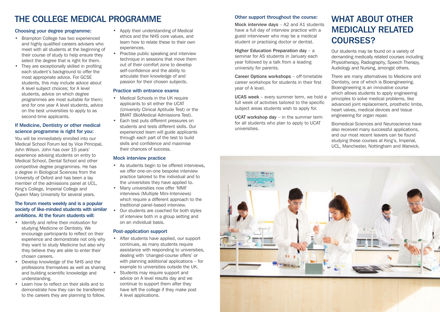# THE COLLEGE MEDICAL PROGRAMME

#### Choosing your degree programme:

- Brampton College has two experienced and highly qualified careers advisers who meet with all students at the beginning of their course of study to help ensure they select the degree that is right for them.
- They are exceptionally skilled in profiling each student's background to offer the most appropriate advice. For GCSE students, this may include advice about A level subject choices; for A level students, advice on which degree programmes are most suitable for them; and for one year A level students, advice on the best universities to apply to as second-time applicants.

#### If Medicine, Dentistry or other medical science programme is right for you:

You will be immediately enrolled into our Medical School Forum led by Vice Principal, John Wilson. John has over 15 years' experience advising students on entry to Medical School, Dental School and other competitive degree programmes. He has a degree in Biological Sciences from the University of Oxford and has been a lay member of the admissions panel at UCL, King's College, Imperial College and Queen Mary University for several years.

#### The forum meets weekly and is a popular society of like-minded students with similar ambitions. At the forum students will:

- Identify and refine their motivation for studying Medicine or Dentistry. We encourage participants to reflect on their experience and demonstrate not only why they want to study Medicine but also why they believe they are able to enter their chosen careers.
- Develop knowledge of the NHS and the professions themselves as well as sharing and building scientific knowledge and understanding.
- Learn how to reflect on their skills and to demonstrate how they can be transferred to the careers they are planning to follow.
- Apply their understanding of Medical ethics and the NHS core values, and learn how to relate these to their own experiences.
- Practise public speaking and interview technique in sessions that move them out of their comfort zone to develop self-confidence and the ability to articulate their knowledge of and passion for their chosen subjects.

#### Practice with entrance exams

- Medical Schools in the UK require applicants to sit either the UCAT (University Clinical Aptitude Test) or the BMAT (BioMedical Admissions Test).
- Each test puts different pressures on students and tests different skills. Our experienced team will guide applicants through each part of the test to build skills and confidence and maximise their chances of success.

#### Mock interview practice

- As students begin to be offered interviews, we offer one-on-one bespoke interview practice tailored to the individual and to the universities they have applied to.
- Many universities now offer 'MMI' interviews (Multiple Mini-Interviews) which require a different approach to the traditional panel-based interview.
- Our students are coached for both styles of interview both in a group setting and on an individual basis.

#### Post-application support

- After students have applied, our support continues, as many students require assistance with responding to universities, dealing with 'changed-course offers' or with planning additional applications – for example to universities outside the UK.
- Students may require support and advice on A level results day and we continue to support them after they have left the college if they make post A level applications.

#### Other support throughout the course:

Mock interview days - A2 and A1 students have a full day of interview practice with a guest interviewer who may be a medical student or practising doctor or dentist.

Higher Education Preparation day – a seminar for AS students in January each year followed by a talk from a leading university for parents.

Career Options workshops – off-timetable career workshops for students in their first year of A level.

UCAS week – every summer term, we hold a full week of activities tailored to the specific subject areas students wish to apply for.

UCAT workshop day – in the summer term for all students who plan to apply to UCAT universities.

# WHAT ABOUT OTHER MEDICALLY RELATED COURSES?

Our students may be found on a variety of demanding medically related courses including Physiotherapy, Radiography, Speech Therapy, Audiology and Nursing, amongst others.

There are many alternatives to Medicine and Dentistry, one of which is Bioengineering. Bioengineering is an innovative course which allows students to apply engineering principles to solve medical problems, like advanced joint replacement, prosthetic limbs, heart valves, medical devices and tissue engineering for organ repair.

Biomedical Sciences and Neuroscience have also received many successful applications, and our most recent leavers can be found studying these courses at King's, Imperial, UCL, Manchester, Nottingham and Warwick.

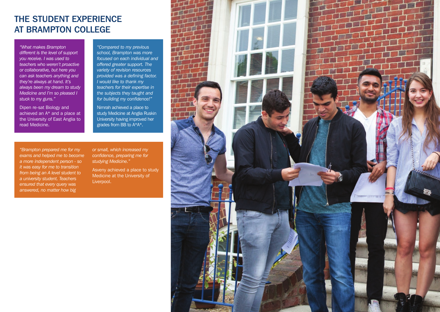### THE STUDENT EXPERIENCE AT BRAMPTON COLLEGE

*"What makes Brampton different is the level of support you receive. I was used to teachers who weren't proactive or collaborative, but here you can ask teachers anything and they're always at hand. It's always been my dream to study Medicine and I'm so pleased I stuck to my guns."*

Dipen re-sat Biology and achieved an  $A^*$  and a place at the University of East Anglia to read Medicine.

*"Compared to my previous school, Brampton was more focused on each individual and offered greater support. The variety of revision resources provided was a defining factor. I would like to thank my teachers for their expertise in the subjects they taught and for building my confidence!"*

Nimrah achieved a place to study Medicine at Anglia Ruskin University having improved her grades from BB to A\*A\*.

*"Brampton prepared me for my exams and helped me to become a more independent person - so it was easy for me to transition from being an A level student to a university student. Teachers ensured that every query was answered, no matter how big* 

*or small, which increased my confidence, preparing me for studying Medicine."*

Asveny achieved a place to study Medicine at the University of Liverpool.